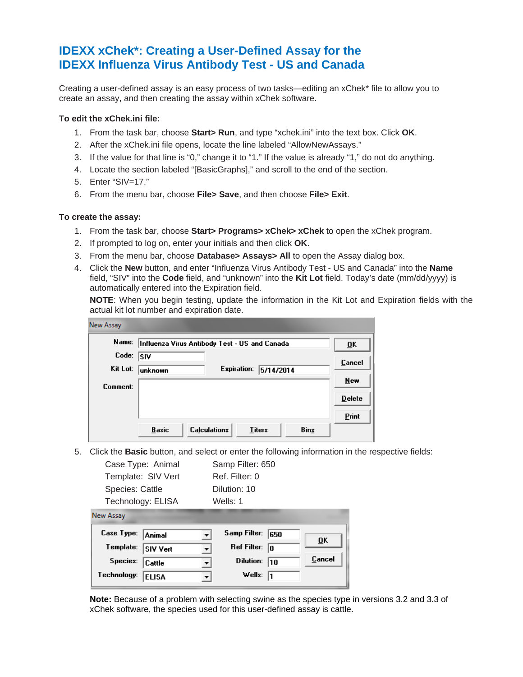## **IDEXX xChek\*: Creating a User-Defined Assay for the IDEXX Influenza Virus Antibody Test - US and Canada**

Creating a user-defined assay is an easy process of two tasks—editing an xChek\* file to allow you to create an assay, and then creating the assay within xChek software.

## **To edit the xChek.ini file:**

- 1. From the task bar, choose **Start> Run**, and type "xchek.ini" into the text box. Click **OK**.
- 2. After the xChek.ini file opens, locate the line labeled "AllowNewAssays."
- 3. If the value for that line is "0," change it to "1." If the value is already "1," do not do anything.
- 4. Locate the section labeled "[BasicGraphs]," and scroll to the end of the section.
- 5. Enter "SIV=17."
- 6. From the menu bar, choose **File> Save**, and then choose **File> Exit**.

## **To create the assay:**

- 1. From the task bar, choose **Start> Programs> xChek> xChek** to open the xChek program.
- 2. If prompted to log on, enter your initials and then click **OK**.
- 3. From the menu bar, choose **Database> Assays> All** to open the Assay dialog box.
- 4. Click the **New** button, and enter "Influenza Virus Antibody Test US and Canada" into the **Name** field, "SIV" into the **Code** field, and "unknown" into the **Kit Lot** field. Today's date (mm/dd/yyyy) is automatically entered into the Expiration field.

**NOTE**: When you begin testing, update the information in the Kit Lot and Expiration fields with the actual kit lot number and expiration date.

| New Assay |                                                                     |               |
|-----------|---------------------------------------------------------------------|---------------|
| Name:     | Influenza Virus Antibody Test - US and Canada                       | ŪK            |
| Code:     | <b>SIV</b>                                                          | Cancel        |
| Kit Lot:  | Expiration:<br>5/14/2014<br> unknown                                |               |
| Comment:  |                                                                     | New           |
|           |                                                                     | <b>Delete</b> |
|           |                                                                     | Print         |
|           | <b>Calculations</b><br><b>Basic</b><br><b>Titers</b><br><b>Bins</b> |               |

5. Click the **Basic** button, and select or enter the following information in the respective fields:

| Case Type: Animal                                                                                                             | Samp Filter: 650                                                                                                |
|-------------------------------------------------------------------------------------------------------------------------------|-----------------------------------------------------------------------------------------------------------------|
| Template: SIV Vert                                                                                                            | Ref. Filter: 0                                                                                                  |
| <b>Species: Cattle</b>                                                                                                        | Dilution: 10                                                                                                    |
| Technology: ELISA                                                                                                             | Wells: 1                                                                                                        |
| <b>New Assay</b><br>Case Type:<br>Animal<br>Template:<br><b>SIV Vert</b><br>Species:<br>Cattle<br>Technology:<br><b>ELISA</b> | Samp Filter:<br>650<br>0K<br><b>Ref Filter:</b><br>lo<br>Cancel<br><b>Dilution:</b><br>110<br>▼<br>Wells:<br>l1 |

**Note:** Because of a problem with selecting swine as the species type in versions 3.2 and 3.3 of xChek software, the species used for this user-defined assay is cattle.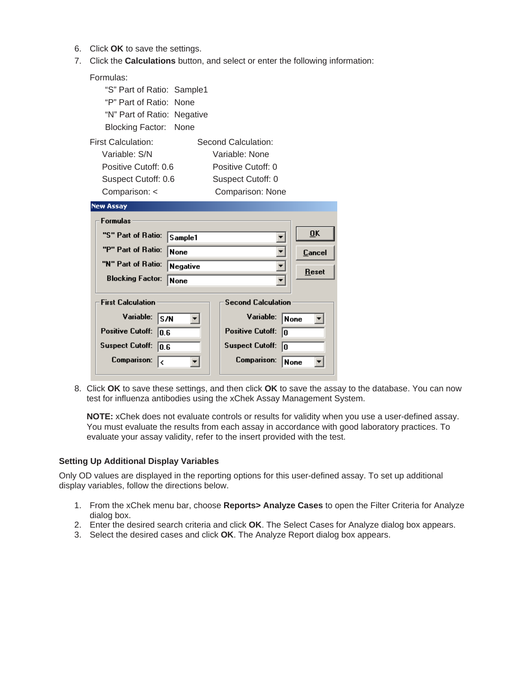- 6. Click **OK** to save the settings.
- 7. Click the **Calculations** button, and select or enter the following information:

| Formulas:                                                        |           |  |  |  |  |  |  |
|------------------------------------------------------------------|-----------|--|--|--|--|--|--|
| "S" Part of Ratio: Sample1                                       |           |  |  |  |  |  |  |
| "P" Part of Ratio: None                                          |           |  |  |  |  |  |  |
| "N" Part of Ratio: Negative                                      |           |  |  |  |  |  |  |
| None<br>Blocking Factor:                                         |           |  |  |  |  |  |  |
| First Calculation:<br>Second Calculation:                        |           |  |  |  |  |  |  |
| Variable: S/N<br>Variable: None                                  |           |  |  |  |  |  |  |
| Positive Cutoff: 0.6<br>Positive Cutoff: 0                       |           |  |  |  |  |  |  |
| Suspect Cutoff: 0.6<br>Suspect Cutoff: 0                         |           |  |  |  |  |  |  |
| Comparison: <<br>Comparison: None                                |           |  |  |  |  |  |  |
| <b>New Assay</b>                                                 |           |  |  |  |  |  |  |
| <b>Formulas</b>                                                  |           |  |  |  |  |  |  |
|                                                                  |           |  |  |  |  |  |  |
| "S" Part of Ratio:<br>Sample1                                    | <b>OK</b> |  |  |  |  |  |  |
| "P" Part of Ratio:<br><b>None</b>                                | Cancel    |  |  |  |  |  |  |
| "N" Part of Ratio:<br>Negative<br>▼                              |           |  |  |  |  |  |  |
| <b>Blocking Factor:</b><br>None                                  | Reset     |  |  |  |  |  |  |
|                                                                  |           |  |  |  |  |  |  |
| <b>First Calculation</b><br><b>Second Calculation</b>            |           |  |  |  |  |  |  |
| Variable:<br>Variable:<br>ls/N<br> None                          |           |  |  |  |  |  |  |
| <b>Positive Cutoff:</b><br><b>Positive Cutoff:</b><br>lo<br>10.6 |           |  |  |  |  |  |  |
| <b>Suspect Cutoff:</b><br><b>Suspect Cutoff:</b><br>10.6<br>lo   |           |  |  |  |  |  |  |

8. Click **OK** to save these settings, and then click **OK** to save the assay to the database. You can now test for influenza antibodies using the xChek Assay Management System.

**NOTE:** xChek does not evaluate controls or results for validity when you use a user-defined assay. You must evaluate the results from each assay in accordance with good laboratory practices. To evaluate your assay validity, refer to the insert provided with the test.

## **Setting Up Additional Display Variables**

Only OD values are displayed in the reporting options for this user-defined assay. To set up additional display variables, follow the directions below.

- 1. From the xChek menu bar, choose **Reports> Analyze Cases** to open the Filter Criteria for Analyze dialog box.
- 2. Enter the desired search criteria and click **OK**. The Select Cases for Analyze dialog box appears.
- 3. Select the desired cases and click **OK**. The Analyze Report dialog box appears.